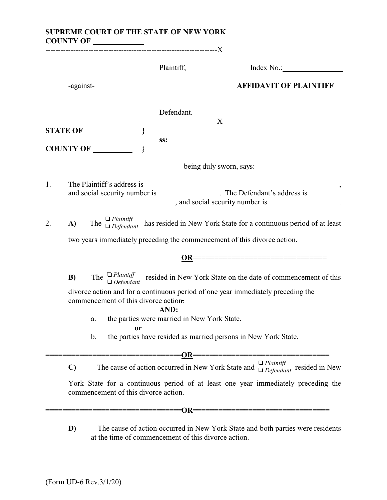|    |              | SUPREME COURT OF THE STATE OF NEW YORK                          |                                                                                                                |  |  |  |
|----|--------------|-----------------------------------------------------------------|----------------------------------------------------------------------------------------------------------------|--|--|--|
|    |              | Plaintiff,                                                      | Index No.:                                                                                                     |  |  |  |
|    | -against-    |                                                                 | <b>AFFIDAVIT OF PLAINTIFF</b>                                                                                  |  |  |  |
|    |              | Defendant.                                                      |                                                                                                                |  |  |  |
|    |              | SS:                                                             |                                                                                                                |  |  |  |
|    |              | being duly sworn, says:                                         |                                                                                                                |  |  |  |
|    |              |                                                                 |                                                                                                                |  |  |  |
| 1. |              |                                                                 |                                                                                                                |  |  |  |
|    |              | $\blacksquare$ , and social security number is $\blacksquare$ . |                                                                                                                |  |  |  |
| 2. | A)           |                                                                 | The $\Box$ Plaintiff<br>The $\Box$ Defendant has resided in New York State for a continuous period of at least |  |  |  |
|    |              |                                                                 | two years immediately preceding the commencement of this divorce action.                                       |  |  |  |
|    |              |                                                                 |                                                                                                                |  |  |  |
|    | B)           |                                                                 | The $\Box$ Plaintiff resided in New York State on the date of commencement of this $\Box$ Defendant            |  |  |  |
|    |              | commencement of this divorce action.                            | divorce action and for a continuous period of one year immediately preceding the                               |  |  |  |
|    |              | AND:                                                            |                                                                                                                |  |  |  |
|    | a.           | the parties were married in New York State.<br>or               |                                                                                                                |  |  |  |
|    | b.           |                                                                 | the parties have resided as married persons in New York State.                                                 |  |  |  |
|    |              | $==OR==$                                                        | =============                                                                                                  |  |  |  |
|    | $\mathbf{C}$ |                                                                 | $\Box$ Plaintiff<br>The cause of action occurred in New York State and $\Box$ <i>Defendant</i> resided in New  |  |  |  |
|    |              | commencement of this divorce action.                            | York State for a continuous period of at least one year immediately preceding the                              |  |  |  |
|    |              | $\equiv = 0R$                                                   | _________________________                                                                                      |  |  |  |
|    | D)           |                                                                 | The cause of action occurred in New York State and both parties were residents                                 |  |  |  |

at the time of commencement of this divorce action.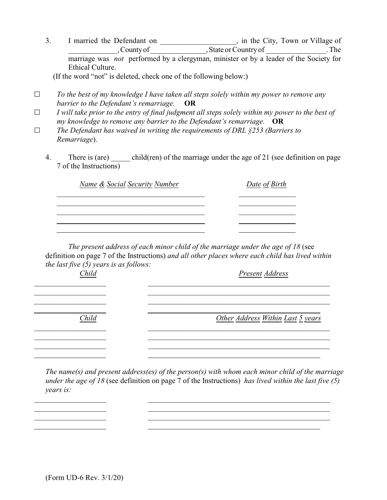3. I married the Defendant on \_\_\_\_\_\_\_\_\_\_\_\_\_\_\_, in the City, Town or Village of \_\_\_\_\_\_\_\_\_\_\_\_\_, County of \_\_\_\_\_\_\_\_\_\_\_\_\_\_\_, State or Country of \_\_\_\_\_\_\_\_\_\_\_\_\_\_\_\_. The marriage was *not* performed by a clergyman, minister or by a leader of the Society for Ethical Culture.

(If the word "not" is deleted, check one of the following below:)

- G *To the best of my knowledge I have taken all steps solely within my power to remove any barrier to the Defendant's remarriage.* **OR**
- $\Box$  *I will take prior to the entry of final judgment all steps solely within my power to the best of my knowledge to remove any barrier to the Defendant's remarriage.* **OR**
- G *The Defendant has waived in writing the requirements of DRL §253 (Barriers to Remarriage*).
	- 4. There is (are) child(ren) of the marriage under the age of 21 (see definition on page 7 of the Instructions)

| Name & Social Security Number | Date of Birth |
|-------------------------------|---------------|
|                               |               |
|                               |               |
|                               |               |

*The present address of each minor child of the marriage under the age of 18* (see definition on page 7 of the Instructions) *and all other places where each child has lived within the last five (5) years is as follows:*

| Child | Present Address                   |
|-------|-----------------------------------|
|       |                                   |
|       |                                   |
| Child | Other Address Within Last 5 years |
|       |                                   |
|       |                                   |

*The name(s) and present address(es) of the person(s) with whom each minor child of the marriage under the age of 18* (see definition on page 7 of the Instructions) *has lived within the last five (5) years is:*

\_\_\_\_\_\_\_\_\_\_\_\_\_\_\_\_\_\_\_ \_\_\_\_\_\_\_\_\_\_\_\_\_\_\_\_\_\_\_\_\_\_\_\_\_\_\_\_\_\_\_\_\_\_\_\_\_\_\_\_\_\_\_\_\_\_\_\_ \_\_\_\_\_\_\_\_\_\_\_\_\_\_\_\_\_\_\_ \_\_\_\_\_\_\_\_\_\_\_\_\_\_\_\_\_\_\_\_\_\_\_\_\_\_\_\_\_\_\_\_\_\_\_\_\_\_\_\_\_\_\_\_\_\_\_\_ \_\_\_\_\_\_\_\_\_\_\_\_\_\_\_\_\_\_\_ \_\_\_\_\_\_\_\_\_\_\_\_\_\_\_\_\_\_\_\_\_\_\_\_\_\_\_\_\_\_\_\_\_\_\_\_\_\_\_\_\_\_\_\_\_\_\_\_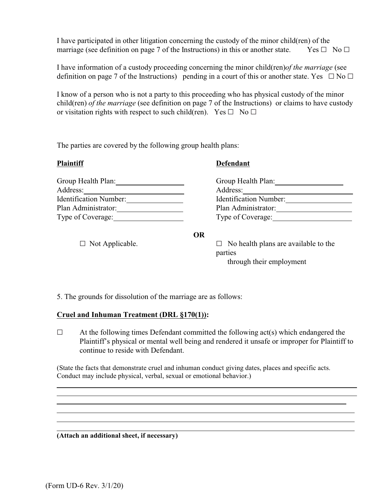I have participated in other litigation concerning the custody of the minor child(ren) of the marriage (see definition on page 7 of the Instructions) in this or another state. Yes  $\Box$  No  $\Box$ 

I have information of a custody proceeding concerning the minor child(ren)*of the marriage* (see definition on page 7 of the Instructions) pending in a court of this or another state. Yes  $\Box$  No  $\Box$ 

I know of a person who is not a party to this proceeding who has physical custody of the minor child(ren) *of the marriage* (see definition on page 7 of the Instructions) or claims to have custody or visitation rights with respect to such child(ren). Yes  $\Box$  No  $\Box$ 

The parties are covered by the following group health plans:

| <b>Plaintiff</b>              | <b>Defendant</b>                                          |  |
|-------------------------------|-----------------------------------------------------------|--|
| Group Health Plan:            | Group Health Plan:                                        |  |
| Address:                      | Address:                                                  |  |
| <b>Identification Number:</b> | <b>Identification Number:</b>                             |  |
| Plan Administrator:           | Plan Administrator:                                       |  |
| Type of Coverage:             | Type of Coverage:                                         |  |
|                               | <b>OR</b>                                                 |  |
| $\Box$ Mer Ann Herther        | $\Box$ . Note that the intermediate constitution is about |  |

 $\Box$  Not Applicable.  $\Box$  No health plans are available to the parties through their employment

5. The grounds for dissolution of the marriage are as follows:

# **Cruel and Inhuman Treatment (DRL §170(1)):**

 $\Box$  At the following times Defendant committed the following act(s) which endangered the Plaintiff's physical or mental well being and rendered it unsafe or improper for Plaintiff to continue to reside with Defendant.

(State the facts that demonstrate cruel and inhuman conduct giving dates, places and specific acts. Conduct may include physical, verbal, sexual or emotional behavior.)

**(Attach an additional sheet, if necessary)**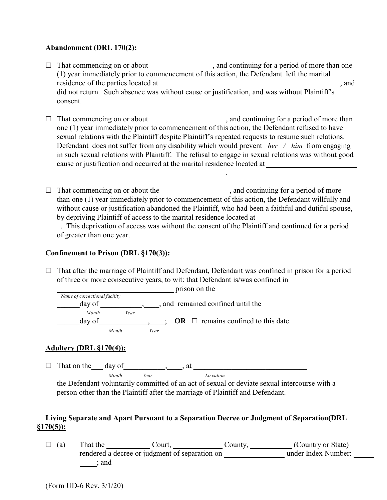## **Abandonment (DRL 170(2):**

- $\Box$  That commencing on or about , and continuing for a period of more than one (1) year immediately prior to commencement of this action, the Defendant left the marital residence of the parties located at  $\qquad \qquad$ , and did not return. Such absence was without cause or justification, and was without Plaintiff's consent.
- $\Box$  That commencing on or about  $\Box$ , and continuing for a period of more than one (1) year immediately prior to commencement of this action, the Defendant refused to have sexual relations with the Plaintiff despite Plaintiff's repeated requests to resume such relations. Defendant does not suffer from any disability which would prevent *her / him* from engaging in such sexual relations with Plaintiff. The refusal to engage in sexual relations was without good cause or justification and occurred at the marital residence located at

.

 $\Box$  That commencing on or about the  $\Box$  and continuing for a period of more than one (1) year immediately prior to commencement of this action, the Defendant willfully and without cause or justification abandoned the Plaintiff, who had been a faithful and dutiful spouse, by depriving Plaintiff of access to the marital residence located at

. This deprivation of access was without the consent of the Plaintiff and continued for a period of greater than one year.

# **Confinement to Prison (DRL §170(3)):**

 $\Box$  That after the marriage of Plaintiff and Defendant, Defendant was confined in prison for a period of three or more consecutive years, to wit: that Defendant is/was confined in

prison on the  *Name of correctional facility* day of equal confined until the confined until the day of  *Month Year*  $\Box$ day of \_\_\_\_\_\_\_\_\_\_\_\_\_\_\_\_\_\_; **OR**  $\Box$  remains confined to this date.  *Month Year*

# **Adultery (DRL §170(4)):**

G That on the\_\_\_ day of\_\_\_\_\_\_\_\_\_\_\_,\_\_\_\_, at \_\_\_\_\_\_\_\_\_\_\_\_\_\_\_\_\_\_\_\_\_\_\_\_\_\_\_\_\_\_ *Month Year Lo cation*

the Defendant voluntarily committed of an act of sexual or deviate sexual intercourse with a person other than the Plaintiff after the marriage of Plaintiff and Defendant.

# **Living Separate and Apart Pursuant to a Separation Decree or Judgment of Separation(DRL §170(5)):**

 $\Box$  (a) That the  $\Box$  Court,  $\Box$  County,  $\Box$  (Country or State) rendered a decree or judgment of separation on \_\_\_\_\_\_\_\_\_\_\_\_\_\_\_\_\_\_\_\_\_ under Index Number: ; and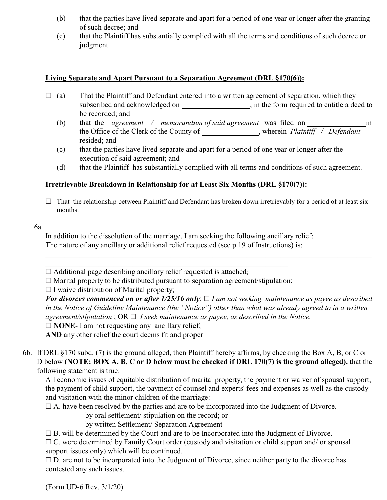- (b) that the parties have lived separate and apart for a period of one year or longer after the granting of such decree; and
- (c) that the Plaintiff has substantially complied with all the terms and conditions of such decree or judgment.

## **Living Separate and Apart Pursuant to a Separation Agreement (DRL §170(6)):**

- $\Box$  (a) That the Plaintiff and Defendant entered into a written agreement of separation, which they subscribed and acknowledged on , in the form required to entitle a deed to be recorded; and
	- (b) that the *agreement / memorandum of said agreement* was filed on in the Office of the Clerk of the County of , wherein *Plaintiff / Defendant* resided; and
	- (c) that the parties have lived separate and apart for a period of one year or longer after the execution of said agreement; and
	- (d) that the Plaintiffhas substantially complied with all terms and conditions of such agreement.

# **Irretrievable Breakdown in Relationship for at Least Six Months (DRL §170(7)):**

 $\Box$  That the relationship between Plaintiff and Defendant has broken down irretrievably for a period of at least six months.

6a.

In addition to the dissolution of the marriage, I am seeking the following ancillary relief: The nature of any ancillary or additional relief requested (see p.19 of Instructions) is:

 $\Box$  Additional page describing ancillary relief requested is attached;

 $\Box$  Marital property to be distributed pursuant to separation agreement/stipulation;

\_\_\_\_\_\_\_\_\_\_\_\_\_\_\_\_\_\_\_\_\_\_\_\_\_\_\_\_\_\_\_\_\_\_\_\_\_\_\_\_\_\_\_\_\_\_\_\_\_\_\_\_\_\_\_\_\_\_\_\_\_\_\_\_

 $\Box$  I waive distribution of Marital property;

For divorces commenced on or after  $1/25/16$  only:  $\Box$  *I am not seeking maintenance as payee as described in the Notice of Guideline Maintenance (the "Notice") other than what was already agreed to in a written agreement/stipulation*  $: \text{OR} \square$  *I seek maintenance as payee, as described in the Notice.* 

 $\Box$  **NONE**- I am not requesting any ancillary relief;

**AND** any other relief the court deems fit and proper

6b. If DRL §170 subd. (7) is the ground alleged, then Plaintiff hereby affirms, by checking the Box A, B, or C or D below **(NOTE: BOX A, B, C or D below must be checked if DRL 170(7) is the ground alleged),** that the following statement is true:

All economic issues of equitable distribution of marital property, the payment or waiver of spousal support, the payment of child support, the payment of counsel and experts' fees and expenses as well as the custody and visitation with the minor children of the marriage:

 $\Box$  A. have been resolved by the parties and are to be incorporated into the Judgment of Divorce.

by oral settlement/ stipulation on the record; or

by written Settlement/ Separation Agreement

 $\Box$  B. will be determined by the Court and are to be Incorporated into the Judgment of Divorce.

 $\Box$  C. were determined by Family Court order (custody and visitation or child support and/ or spousal support issues only) which will be continued.

 $\square$  D. are not to be incorporated into the Judgment of Divorce, since neither party to the divorce has contested any such issues.

(Form UD-6 Rev. 3/1/20)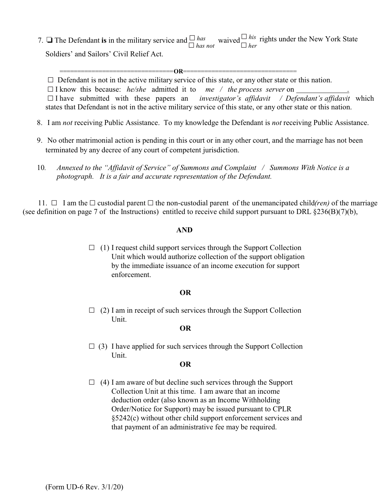rights under the New York State 7.  $\Box$  The Defendant **is** in the military service and  $\Box$  *has* not waived  $\Box$  *his her* Soldiers' and Sailors' Civil Relief Act.

 $\Box$  Defendant is not in the active military service of this state, or any other state or this nation.

================================**OR**================================

 $\Box$  I know this because: *he/she* admitted it to *me / the process server* on

 $\Box$  I have submitted with these papers an *investigator's affidavit / Defendant's affidavit* which states that Defendant is not in the active military service of this state, or any other state or this nation.

- *17* 8. I am *not* receiving Public Assistance. To my knowledge the Defendant is *not* receiving Public Assistance.
- *18* 9. No other matrimonial action is pending in this court or in any other court, and the marriage has not been terminated by any decree of any court of competent jurisdiction.
- *19* 10*. Annexed to the "Affidavit of Service" of Summons and Complaint / Summons With Notice is a photograph. It is a fair and accurate representation of the Defendant.*

11.  $\Box$  I am the  $\Box$  custodial parent  $\Box$  the non-custodial parent of the unemancipated child(*ren*) of the marriage (see definition on page 7 of the Instructions) entitled to receive child support pursuant to DRL §236(B)(7)(b),

## **AND**

 $\Box$  (1) I request child support services through the Support Collection Unit which would authorize collection of the support obligation by the immediate issuance of an income execution for support enforcement.

### **OR**

 $\Box$  (2) I am in receipt of such services through the Support Collection Unit.

### **OR**

 $\Box$  (3) I have applied for such services through the Support Collection Unit.

## **OR**

 $\Box$  (4) I am aware of but decline such services through the Support Collection Unit at this time. I am aware that an income deduction order (also known as an Income Withholding Order/Notice for Support) may be issued pursuant to CPLR §5242(c) without other child support enforcement services and that payment of an administrative fee may be required.